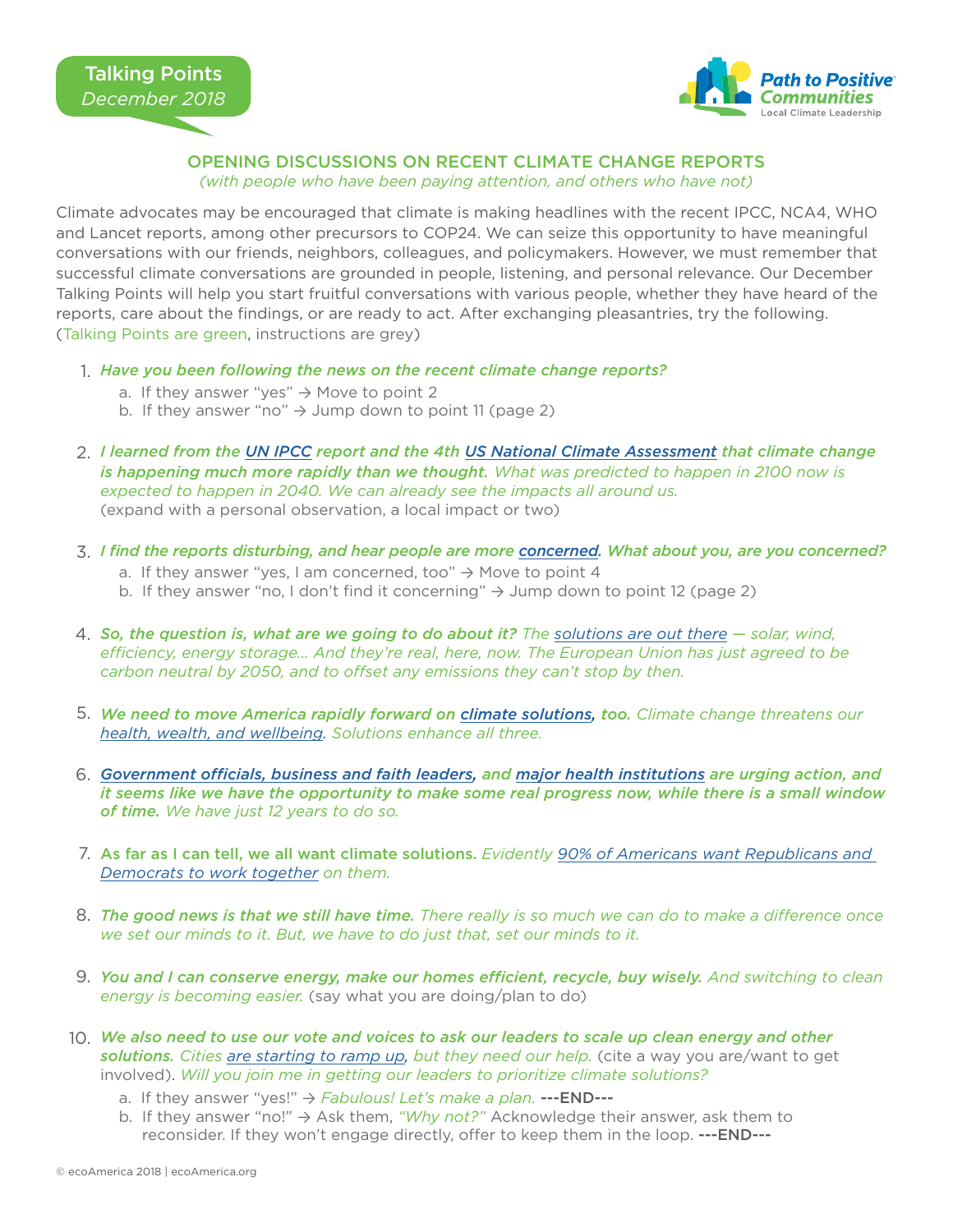

## OPENING DISCUSSIONS ON RECENT CLIMATE CHANGE REPORTS

*(with people who have been paying attention, and others who have not)*

Climate advocates may be encouraged that climate is making headlines with the recent IPCC, NCA4, WHO and Lancet reports, among other precursors to COP24. We can seize this opportunity to have meaningful conversations with our friends, neighbors, colleagues, and policymakers. However, we must remember that successful climate conversations are grounded in people, listening, and personal relevance. Our December Talking Points will help you start fruitful conversations with various people, whether they have heard of the reports, care about the findings, or are ready to act. After exchanging pleasantries, try the following. (Talking Points are green, instructions are grey)

- *Have you been following the news on the recent climate change reports?* 1.
	- a. If they answer "yes"  $\rightarrow$  Move to point 2
	- b. If they answer "no"  $\rightarrow$  Jump down to point 11 (page 2)
- *I learned from the [UN IPCC](https://www.ipcc.ch/sr15/) report and the 4th [US National Climate Assessment](https://nca2018.globalchange.gov/) that climate change*  2. *is happening much more rapidly than we thought. What was predicted to happen in 2100 now is expected to happen in 2040. We can already see the impacts all around us.* (expand with a personal observation, a local impact or two)
- *I find the reports disturbing, and hear people are more [concerned.](https://ecoamerica.org/wp-content/uploads/2018/10/november-2018-american-climate-perspectives-survey.pdf) What about you, are you concerned?* 3.
	- a. If they answer "yes, I am concerned, too"  $\rightarrow$  Move to point 4
	- b. If they answer "no, I don't find it concerning"  $\rightarrow$  Jump down to point 12 (page 2)
- *So, the question is, what are we going to do about it? The [solutions are out there](https://nca2018.globalchange.gov/chapter/29/) solar, wind,*  4. *efficiency, energy storage… And they're real, here, now. The European Union has just agreed to be carbon neutral by 2050, and to offset any emissions they can't stop by then.*
- *We need to move America rapidly forward on [climate solutions](https://nca2018.globalchange.gov/chapter/29/), too. Climate change threatens our*  5. *[health, wealth, and wellbeing.](http://www.lancetcountdown.org/media/1426/2018-lancet-countdown-policy-brief-usa.pdf#page=19) Solutions enhance all three.*
- *[Government officials, business and faith leaders,](https://www.wearestillin.com/) and [major health institutions](https://www.globalclimateandhealthforum.org/call-to-action) are urging action, and*  6. *it seems like we have the opportunity to make some real progress now, while there is a small window of time. We have just 12 years to do so.*
- As far as I can tell, we all want climate solutions. *Evidently [90% of Americans want Republicans and](https://ecoamerica.org/wp-content/uploads/2018/10/october-2018-american-climate-perspectives-survey.pdf)*  7. *[Democrats to work together](https://ecoamerica.org/wp-content/uploads/2018/10/october-2018-american-climate-perspectives-survey.pdf) on them.*
- *The good news is that we still have time. There really is so much we can do to make a difference once*  8. *we set our minds to it. But, we have to do just that, set our minds to it.*
- *You and I can conserve energy, make our homes efficient, recycle, buy wisely. And switching to clean*  9. *energy is becoming easier.* (say what you are doing/plan to do)
- *We also need to use our vote and voices to ask our leaders to scale up clean energy and other*  10. *solutions. Cities [are starting to ramp up](https://www.sierraclub.org/ready-for-100), but they need our help.* (cite a way you are/want to get involved). *Will you join me in getting our leaders to prioritize climate solutions?*
	- a. If they answer "yes!" → *Fabulous! Let's make a plan.* ---END---
	- b. If they answer "no!" → Ask them, *"Why not?"* Acknowledge their answer, ask them to reconsider. If they won't engage directly, offer to keep them in the loop. ---END---